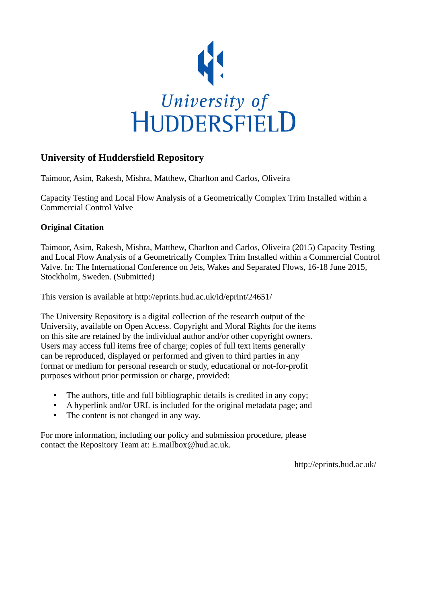

## **University of Huddersfield Repository**

Taimoor, Asim, Rakesh, Mishra, Matthew, Charlton and Carlos, Oliveira

Capacity Testing and Local Flow Analysis of a Geometrically Complex Trim Installed within a Commercial Control Valve

### **Original Citation**

Taimoor, Asim, Rakesh, Mishra, Matthew, Charlton and Carlos, Oliveira (2015) Capacity Testing and Local Flow Analysis of a Geometrically Complex Trim Installed within a Commercial Control Valve. In: The International Conference on Jets, Wakes and Separated Flows, 16-18 June 2015, Stockholm, Sweden. (Submitted)

This version is available at http://eprints.hud.ac.uk/id/eprint/24651/

The University Repository is a digital collection of the research output of the University, available on Open Access. Copyright and Moral Rights for the items on this site are retained by the individual author and/or other copyright owners. Users may access full items free of charge; copies of full text items generally can be reproduced, displayed or performed and given to third parties in any format or medium for personal research or study, educational or not-for-profit purposes without prior permission or charge, provided:

- The authors, title and full bibliographic details is credited in any copy;
- A hyperlink and/or URL is included for the original metadata page; and
- The content is not changed in any way.

For more information, including our policy and submission procedure, please contact the Repository Team at: E.mailbox@hud.ac.uk.

http://eprints.hud.ac.uk/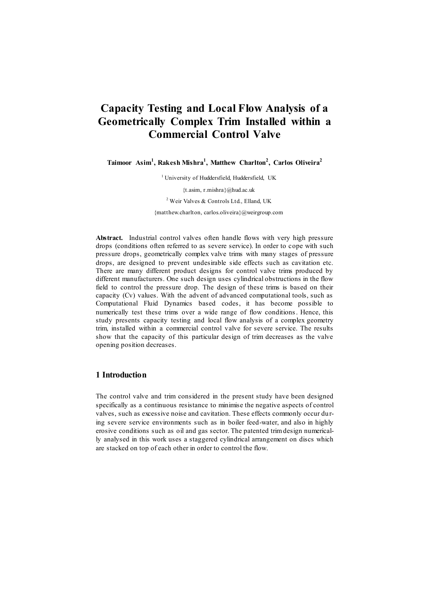# **Capacity Testing and Local Flow Analysis of a Geometrically Complex Trim Installed within a Commercial Control Valve**

**Taimoor Asim<sup>1</sup> , Rakesh Mishra<sup>1</sup> , Matthew Charlton<sup>2</sup> , Carlos Oliveira<sup>2</sup>**

<sup>1</sup> University of Huddersfield, Huddersfield, UK {t.asim, r.mishra}@hud.ac.uk <sup>2</sup> Weir Valves & Controls Ltd., Elland, UK {matthew.charlton, carlos.oliveira}@weirgroup.com

**Abstract.** Industrial control valves often handle flows with very high pressure drops (conditions often referred to as severe service). In order to cope with such pressure drops, geometrically complex valve trims with many stages of pressure drops, are designed to prevent undesirable side effects such as cavitation etc. There are many different product designs for control valve trims produced by different manufacturers. One such design uses cylindrical obstructions in the flow field to control the pressure drop. The design of these trims is based on their capacity (Cv) values. With the advent of advanced computational tools, such as Computational Fluid Dynamics based codes, it has become possible to numerically test these trims over a wide range of flow conditions. Hence, this study presents capacity testing and local flow analysis of a complex geometry trim, installed within a commercial control valve for severe service. The results show that the capacity of this particular design of trim decreases as the valve opening position decreases.

#### **1 Introduction**

The control valve and trim considered in the present study have been designed specifically as a continuous resistance to minimise the negative aspects of control valves, such as excessive noise and cavitation. These effects commonly occur during severe service environments such as in boiler feed-water, and also in highly erosive conditions such as oil and gas sector. The patented trim design numerically analysed in this work uses a staggered cylindrical arrangement on discs which are stacked on top of each other in order to control the flow.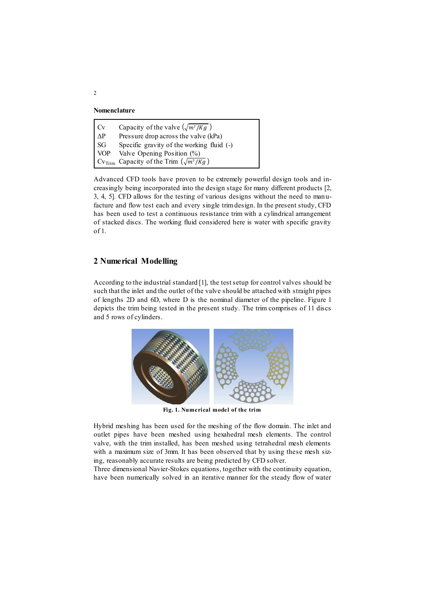**Nomenclature**

| $\vert$ Cv                   | Capacity of the valve $(\sqrt{m^7/Kg})$                           |  |
|------------------------------|-------------------------------------------------------------------|--|
| $\Delta P$                   | Pressure drop across the valve (kPa)                              |  |
| SG                           | Specific gravity of the working fluid $(-)$                       |  |
| $\overline{\phantom{a}}$ VOP | Valve Opening Position (%)                                        |  |
|                              | $\vert$ Cv <sub>Trim</sub> Capacity of the Trim $(\sqrt{m^7/Kg})$ |  |

Advanced CFD tools have proven to be extremely powerful design tools and increasingly being incorporated into the design stage for many different products [2, 3, 4, 5]. CFD allows for the testing of various designs without the need to manufacture and flow test each and every single trim design. In the present study, CFD has been used to test a continuous resistance trim with a cylindrical arrangement of stacked discs. The working fluid considered here is water with specific gravity of 1.

#### **2 Numerical Modelling**

According to the industrial standard [1], the test setup for control valves should be such that the inlet and the outlet of the valve should be attached with straight pipes of lengths 2D and 6D, where D is the nominal diameter of the pipeline. Figure 1 depicts the trim being tested in the present study. The trim comprises of 11 discs and 5 rows of cylinders.



**Fig. 1. Numerical model of the trim**

Hybrid meshing has been used for the meshing of the flow domain. The inlet and outlet pipes have been meshed using hexahedral mesh elements. The control valve, with the trim installed, has been meshed using tetrahedral mesh elements with a maximum size of 3mm. It has been observed that by using these mesh sizing, reasonably accurate results are being predicted by CFD solver.

Three dimensional Navier-Stokes equations, together with the continuity equation, have been numerically solved in an iterative manner for the steady flow of water

2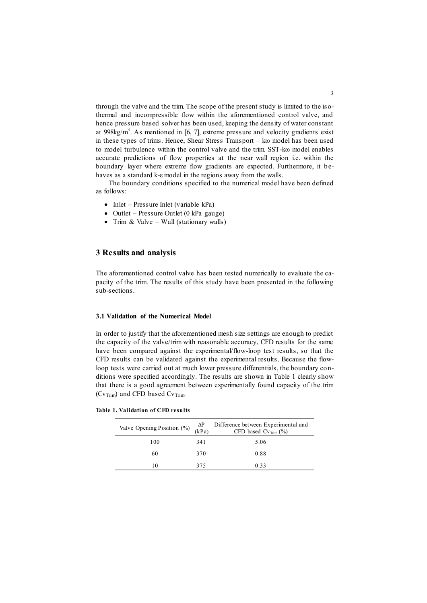through the valve and the trim. The scope of the present study is limited to the isothermal and incompressible flow within the aforementioned control valve, and hence pressure based solver has been used, keeping the density of water constant at 998kg/m<sup>3</sup>. As mentioned in [6, 7], extreme pressure and velocity gradients exist in these types of trims. Hence, Shear Stress Transport – kω model has been used to model turbulence within the control valve and the trim. SST-kω model enables accurate predictions of flow properties at the near wall region i.e. within the boundary layer where extreme flow gradients are expected. Furthermore, it behaves as a standard k-ε model in the regions away from the walls.

The boundary conditions specified to the numerical model have been defined as follows:

- Inlet Pressure Inlet (variable kPa)
- $\bullet$  Outlet Pressure Outlet (0 kPa gauge)
- Trim & Valve Wall (stationary walls)

#### **3 Results and analysis**

The aforementioned control valve has been tested numerically to evaluate the capacity of the trim. The results of this study have been presented in the following sub-sections.

#### **3.1 Validation of the Numerical Model**

In order to justify that the aforementioned mesh size settings are enough to predict the capacity of the valve/trim with reasonable accuracy, CFD results for the same have been compared against the experimental/flow-loop test results, so that the CFD results can be validated against the experimental results. Because the flowloop tests were carried out at much lower pressure differentials, the boundary conditions were specified accordingly. The results are shown in Table 1 clearly show that there is a good agreement between experimentally found capacity of the trim ( $CV$ <sub>Trim</sub>) and CFD based  $CV$ <sub>Trim</sub>.

**Table 1. Validation of CFD results**

| Valve Opening Position (%) | ΔP<br>(kPa) | Difference between Experimental and<br>CFD based $Cv_{\text{Tim}}(\%)$ |
|----------------------------|-------------|------------------------------------------------------------------------|
| 100                        | 341         | 5.06                                                                   |
| 60                         | 370         | 0.88                                                                   |
| 10                         | 375         | 0.33                                                                   |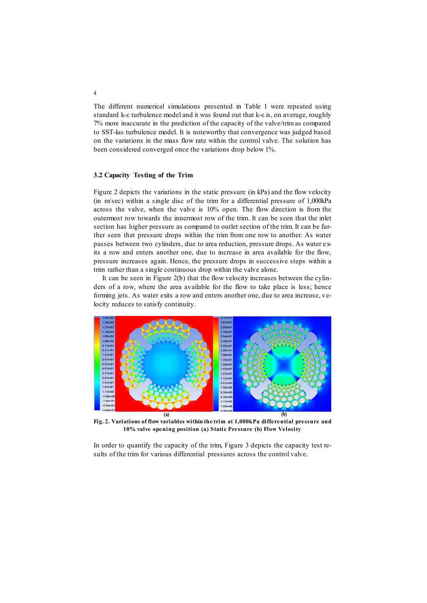The different numerical simulations presented in Table 1 were repeated using standard k-ε turbulence model and it was found out that k-ε is, on average, roughly 7% more inaccurate in the prediction of the capacity of the valve/trim as compared to SST-kω turbulence model. It is noteworthy that convergence was judged based on the variations in the mass flow rate within the control valve. The solution has been considered converged once the variations drop below 1%.

#### **3.2 Capacity Testing of the Trim**

Figure 2 depicts the variations in the static pressure (in kPa) and the flow velocity (in m/sec) within a single disc of the trim for a differential pressure of 1,000kPa across the valve, when the valve is 10% open. The flow direction is from the outermost row towards the innermost row of the trim. It can be seen that the inlet section has higher pressure as compared to outlet section of the trim. It can be further seen that pressure drops within the trim from one row to another. As water passes between two cylinders, due to area reduction, pressure drops. As water exits a row and enters another one, due to increase in area available for the flow, pressure increases again. Hence, the pressure drops in successive steps within a trim rather than a single continuous drop within the valve alone.

It can be seen in Figure 2(b) that the flow velocity increases between the cylinders of a row, where the area available for the flow to take place is less; hence forming jets. As water exits a row and enters another one, due to area increase, velocity reduces to satisfy continuity.



**Fig. 2. Variations of flow variables within the trim at 1,000kPa differential pressure and 10% valve opening position (a) Static Pressure (b) Flow Velocity**

In order to quantify the capacity of the trim, Figure 3 depicts the capacity test results of the trim for various differential pressures across the control valve.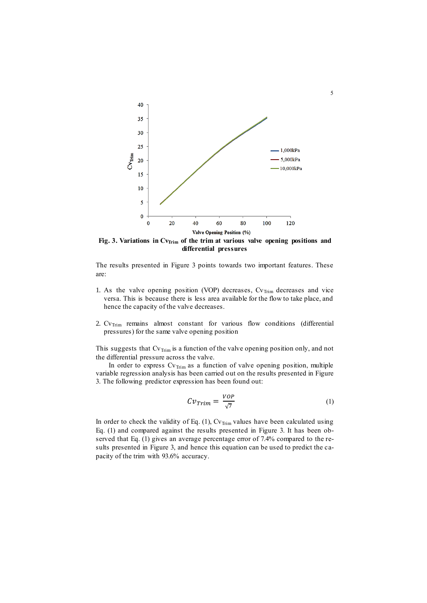

Fig. 3. Variations in Cv<sub>Irim</sub> of the trim at various valve opening positions and **differential pressures**

The results presented in Figure 3 points towards two important features. These are:

- 1. As the valve opening position (VOP) decreases,  $Cv$ <sub>Trim</sub> decreases and vice versa. This is because there is less area available for the flow to take place, and hence the capacity of the valve decreases.
- 2.  $CV_{Trim}$  remains almost constant for various flow conditions (differential pressures) for the same valve opening position

This suggests that  $\text{Cv}_{\text{Trim}}$  is a function of the valve opening position only, and not the differential pressure across the valve.

In order to express  $Cv_{\text{Trim}}$  as a function of valve opening position, multiple variable regression analysis has been carried out on the results presented in Figure 3. The following predictor expression has been found out:

$$
Cv_{Trim} = \frac{VOP}{\sqrt{7}}
$$
 (1)

In order to check the validity of Eq.  $(1)$ , Cv<sub>Trim</sub> values have been calculated using Eq. (1) and compared against the results presented in Figure 3. It has been observed that Eq. (1) gives an average percentage error of 7.4% compared to the results presented in Figure 3, and hence this equation can be used to predict the capacity of the trim with 93.6% accuracy.

5